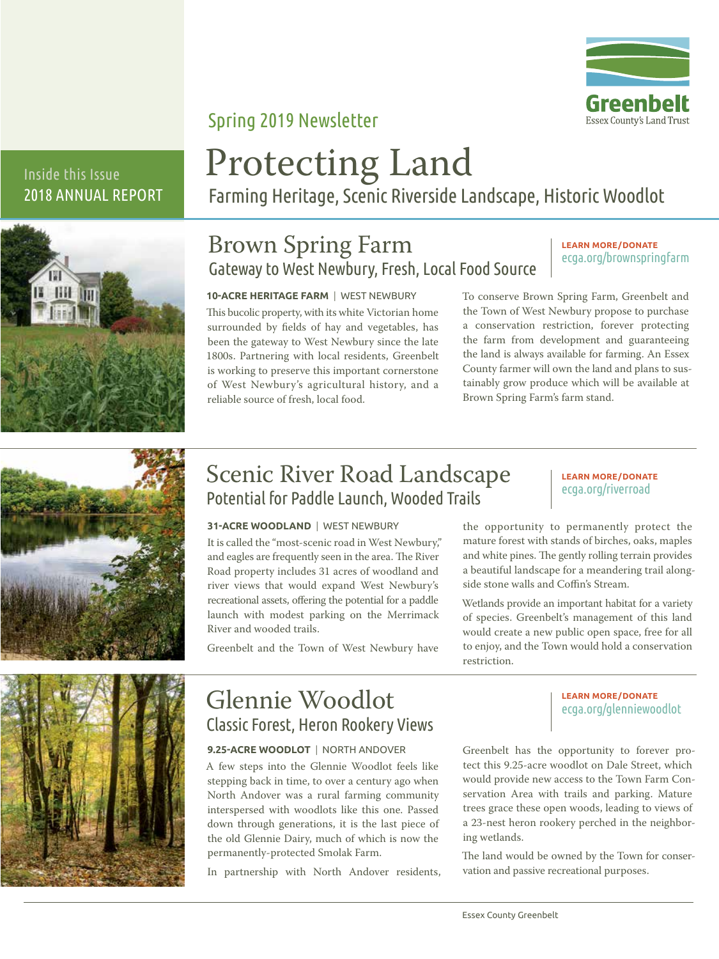

### Spring 2019 Newsletter

### Inside this Issue 2018 ANNUAL REPORT



# Protecting Land

Farming Heritage, Scenic Riverside Landscape, Historic Woodlot

### Brown Spring Farm Gateway to West Newbury, Fresh, Local Food Source

#### **LEARN MORE/DONATE** ecga.org/brownspringfarm

**10-ACRE HERITAGE FARM** | WEST NEWBURY This bucolic property, with its white Victorian home surrounded by fields of hay and vegetables, has been the gateway to West Newbury since the late 1800s. Partnering with local residents, Greenbelt is working to preserve this important cornerstone of West Newbury's agricultural history, and a reliable source of fresh, local food.

To conserve Brown Spring Farm, Greenbelt and the Town of West Newbury propose to purchase a conservation restriction, forever protecting the farm from development and guaranteeing the land is always available for farming. An Essex County farmer will own the land and plans to sustainably grow produce which will be available at Brown Spring Farm's farm stand.



### Scenic River Road Landscape Potential for Paddle Launch, Wooded Trails

#### **31-ACRE WOODLAND** | WEST NEWBURY

It is called the "most-scenic road in West Newbury," and eagles are frequently seen in the area. The River Road property includes 31 acres of woodland and river views that would expand West Newbury's recreational assets, offering the potential for a paddle launch with modest parking on the Merrimack River and wooded trails.

Greenbelt and the Town of West Newbury have

#### **LEARN MORE/DONATE** ecga.org/riverroad

the opportunity to permanently protect the mature forest with stands of birches, oaks, maples and white pines. The gently rolling terrain provides a beautiful landscape for a meandering trail alongside stone walls and Coffin's Stream.

Wetlands provide an important habitat for a variety of species. Greenbelt's management of this land would create a new public open space, free for all to enjoy, and the Town would hold a conservation restriction.



### Glennie Woodlot Classic Forest, Heron Rookery Views

### **9.25-ACRE WOODLOT** | NORTH ANDOVER

A few steps into the Glennie Woodlot feels like stepping back in time, to over a century ago when North Andover was a rural farming community interspersed with woodlots like this one. Passed down through generations, it is the last piece of the old Glennie Dairy, much of which is now the permanently-protected Smolak Farm.

In partnership with North Andover residents,

**LEARN MORE/DONATE** ecga.org/glenniewoodlot

Greenbelt has the opportunity to forever protect this 9.25-acre woodlot on Dale Street, which would provide new access to the Town Farm Conservation Area with trails and parking. Mature trees grace these open woods, leading to views of a 23-nest heron rookery perched in the neighboring wetlands.

The land would be owned by the Town for conservation and passive recreational purposes.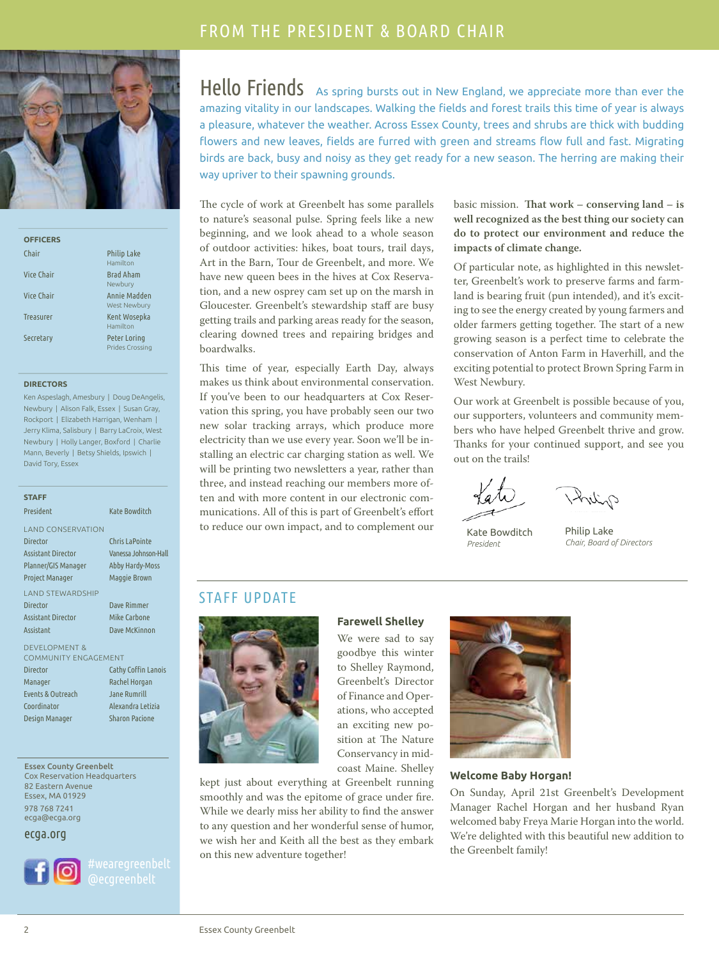### FROM THE PRESIDENT & BOARD CHAIR



| <b>OFFICERS</b>  |                                 |
|------------------|---------------------------------|
| Chair            | <b>Philip Lake</b><br>Hamilton  |
| Vice Chair       | <b>Brad Aham</b><br>Newbury     |
| Vice Chair       | Annie Madden<br>West Newbury    |
| <b>Treasurer</b> | Kent Wosepka<br>Hamilton        |
| Secretary        | Peter Loring<br>Prides Crossing |

#### **DIRECTORS**

Ken Aspeslagh, Amesbury | Doug DeAngelis, Newbury | Alison Falk, Essex | Susan Gray, Rockport | Elizabeth Harrigan, Wenham | Jerry Klima, Salisbury | Barry LaCroix, West Newbury | Holly Langer, Boxford | Charlie Mann, Beverly | Betsy Shields, Ipswich | David Tory, Essex

**STAFF** President Kate Bowditch LAND CONSERVATION Director Chris LaPointe Assistant Director Vanessa Johnson-Hall Planner/GIS Manager Abby Hardy-Moss Project Manager Maggie Brown LAND STEWARDSHIP Director Dave Rimmer Assistant Director Mike Carbone Assistant Dave McKinnon DEVELOPMENT & COMMUNITY ENGAGEMENT

Director Cathy Coffin Lanois Manager Rachel Horgan Events & Outreach Jane Rumrill Coordinator Alexandra Letizia Design Manager Sharon Pacione

Essex County Greenbelt Cox Reservation Headquarters 82 Eastern Avenue Essex, MA 01929 978 768 7241 ecga@ecga.org

ecga.org



Hello Friends As spring bursts out in New England, we appreciate more than ever the amazing vitality in our landscapes. Walking the fields and forest trails this time of year is always a pleasure, whatever the weather. Across Essex County, trees and shrubs are thick with budding flowers and new leaves, fields are furred with green and streams flow full and fast. Migrating birds are back, busy and noisy as they get ready for a new season. The herring are making their way upriver to their spawning grounds.

The cycle of work at Greenbelt has some parallels to nature's seasonal pulse. Spring feels like a new beginning, and we look ahead to a whole season of outdoor activities: hikes, boat tours, trail days, Art in the Barn, Tour de Greenbelt, and more. We have new queen bees in the hives at Cox Reservation, and a new osprey cam set up on the marsh in Gloucester. Greenbelt's stewardship staff are busy getting trails and parking areas ready for the season, clearing downed trees and repairing bridges and boardwalks.

This time of year, especially Earth Day, always makes us think about environmental conservation. If you've been to our headquarters at Cox Reservation this spring, you have probably seen our two new solar tracking arrays, which produce more electricity than we use every year. Soon we'll be installing an electric car charging station as well. We will be printing two newsletters a year, rather than three, and instead reaching our members more often and with more content in our electronic communications. All of this is part of Greenbelt's effort to reduce our own impact, and to complement our

basic mission. **Tat work – conserving land – is well recognized as the best thing our society can do to protect our environment and reduce the impacts of climate change.**

Of particular note, as highlighted in this newsletter, Greenbelt's work to preserve farms and farmland is bearing fruit (pun intended), and it's exciting to see the energy created by young farmers and older farmers getting together. The start of a new growing season is a perfect time to celebrate the conservation of Anton Farm in Haverhill, and the exciting potential to protect Brown Spring Farm in West Newbury.

Our work at Greenbelt is possible because of you, our supporters, volunteers and community members who have helped Greenbelt thrive and grow. Thanks for your continued support, and see you out on the trails!

Kate Bowditch *President*

Philip Lake *Chair, Board of Directors*

### STAFF UPDATE



### **Farewell Shelley**

We were sad to say goodbye this winter to Shelley Raymond, Greenbelt's Director of Finance and Operations, who accepted an exciting new position at The Nature Conservancy in midcoast Maine. Shelley

kept just about everything at Greenbelt running smoothly and was the epitome of grace under fire. While we dearly miss her ability to find the answer to any question and her wonderful sense of humor, we wish her and Keith all the best as they embark on this new adventure together!



#### **Welcome Baby Horgan!**

On Sunday, April 21st Greenbelt's Development Manager Rachel Horgan and her husband Ryan welcomed baby Freya Marie Horgan into the world. We're delighted with this beautiful new addition to the Greenbelt family!

2 Essex County Greenbelt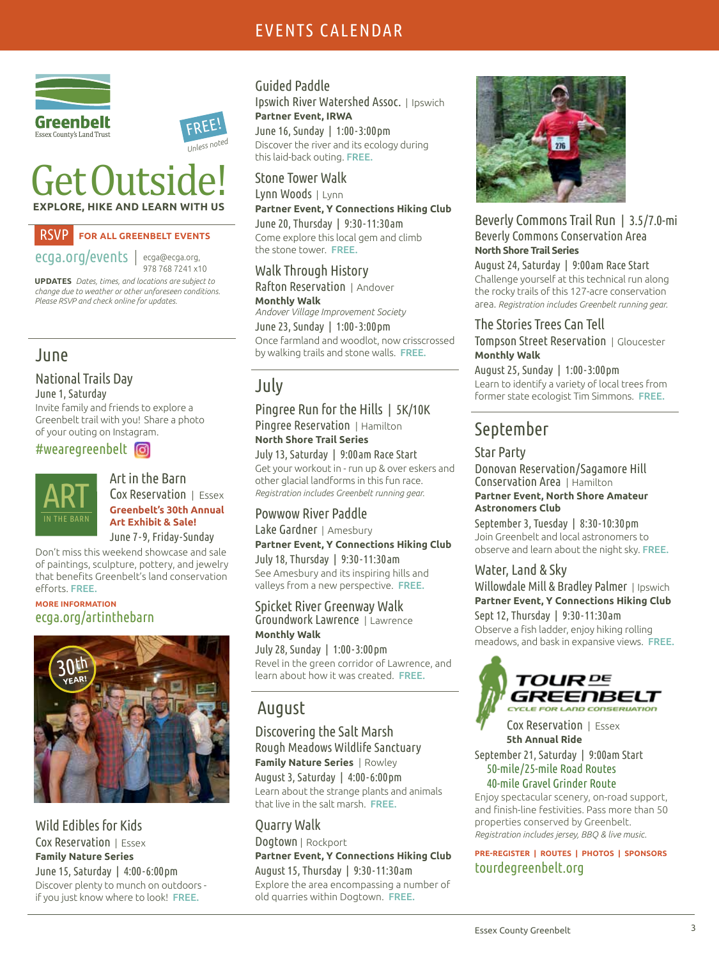### EVENTS CALENDAR



## Get Outside! **EXPLORE, HIKE AND LEARN WITH US**

### RSVP **FOR ALL GREENBELT EVENTS**

ecga.org/events ecga@ecga.org,

978 768 7241 x10

 FREE! *Unless noted*

**UPDATES** *Dates, times, and locations are subject to change due to weather or other unforeseen conditions. Please RSVP and check online for updates.*

### June

#### National Trails Day June 1, Saturday

Invite family and friends to explore a Greenbelt trail with you! Share a photo of your outing on Instagram.

#wearegreenbelt



#### Art in the Barn Cox Reservation | Essex **Greenbelt's 30th Annual Art Exhibit & Sale!**

June 7-9, Friday-Sunday

Don't miss this weekend showcase and sale of paintings, sculpture, pottery, and jewelry that benefits Greenbelt's land conservation efforts. FREE.

### **MORE INFORMATION** ecga.org/artinthebarn



Wild Edibles for Kids Cox Reservation | Essex **Family Nature Series** June 15, Saturday | 4:00-6:00 pm Discover plenty to munch on outdoors if you just know where to look! FREE.

### Guided Paddle

Ipswich River Watershed Assoc. | Ipswich **Partner Event, IRWA**

June 16, Sunday | 1:00-3:00 pm Discover the river and its ecology during this laid-back outing. FREE.

### Stone Tower Walk

Lynn Woods | Lynn **Partner Event, Y Connections Hiking Club** June 20, Thursday | 9:30-11:30 am

Come explore this local gem and climb the stone tower. FREE.

### Walk Through History

Rafton Reservation | Andover **Monthly Walk** *Andover Village Improvement Society* June 23, Sunday | 1:00-3:00 pm Once farmland and woodlot, now crisscrossed by walking trails and stone walls. FREE.

### July

#### Pingree Run for the Hills | 5K/10K Pingree Reservation | Hamilton **North Shore Trail Series**

July 13, Saturday | 9:00am Race Start Get your workout in - run up & over eskers and other glacial landforms in this fun race. *Registration includes Greenbelt running gear.*

### Powwow River Paddle

Lake Gardner | Amesbury **Partner Event, Y Connections Hiking Club** July 18, Thursday | 9:30-11:30 am See Amesbury and its inspiring hills and valleys from a new perspective. FREE.

#### Spicket River Greenway Walk Groundwork Lawrence | Lawrence **Monthly Walk**

July 28, Sunday | 1:00-3:00 pm Revel in the green corridor of Lawrence, and learn about how it was created. FREE.

### August

#### Discovering the Salt Marsh Rough Meadows Wildlife Sanctuary **Family Nature Series** | Rowley August 3, Saturday | 4:00-6:00 pm Learn about the strange plants and animals that live in the salt marsh. FREE.

Quarry Walk Dogtown | Rockport **Partner Event, Y Connections Hiking Club** August 15, Thursday | 9:30-11:30 am Explore the area encompassing a number of old quarries within Dogtown. FREE.



### Beverly Commons Trail Run | 3.5/7.0-mi Beverly Commons Conservation Area **North Shore Trail Series**

August 24, Saturday | 9:00am Race Start Challenge yourself at this technical run along the rocky trails of this 127-acre conservation area. *Registration includes Greenbelt running gear.*

### The Stories Trees Can Tell

Tompson Street Reservation | Gloucester **Monthly Walk**

August 25, Sunday | 1:00-3:00 pm Learn to identify a variety of local trees from former state ecologist Tim Simmons. FREE.

### September

### Star Party

Donovan Reservation /Sagamore Hill Conservation Area | Hamilton **Partner Event, North Shore Amateur Astronomers Club**

September 3, Tuesday | 8:30-10:30pm Join Greenbelt and local astronomers to observe and learn about the night sky. FREE.

### Water, Land & Sky

Willowdale Mill & Bradley Palmer | Ipswich **Partner Event, Y Connections Hiking Club**

Sept 12, Thursday | 9:30-11:30 am Observe a fish ladder, enjoy hiking rolling meadows, and bask in expansive views. FREE.



 Cox Reservation | Essex **5th Annual Ride**

September 21, Saturday | 9:00am Start 50-mile/25-mile Road Routes 40-mile Gravel Grinder Route

Enjoy spectacular scenery, on-road support, and finish-line festivities. Pass more than 50 properties conserved by Greenbelt. *Registration includes jersey, BBQ & live music.* 

**PRE-REGISTER | ROUTES | PHOTOS | SPONSORS**  tourdegreenbelt.org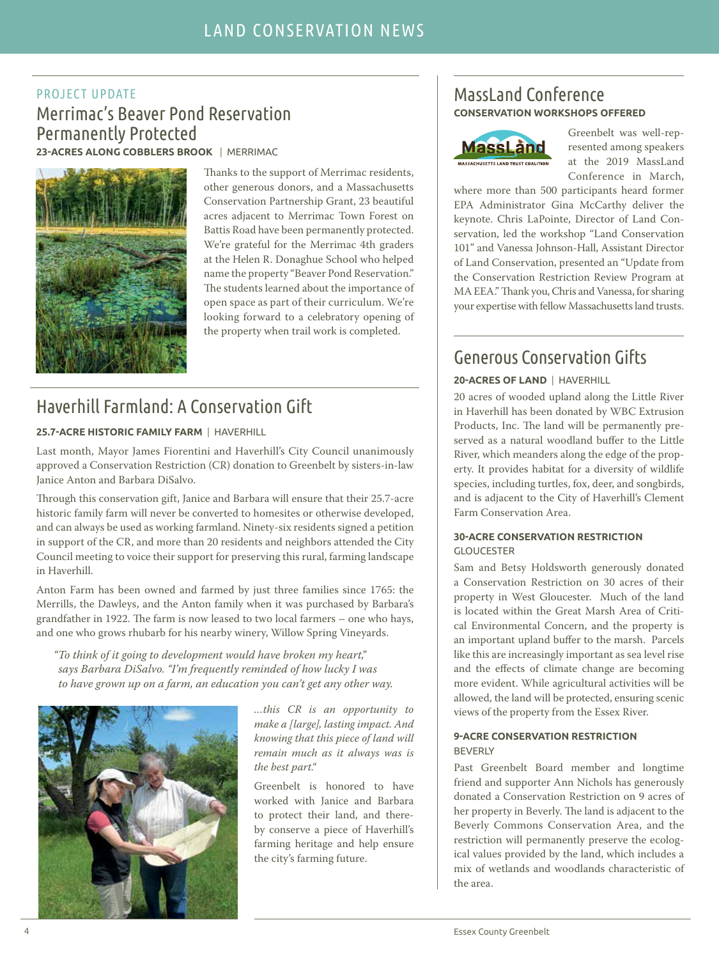### PROJECT UPDATE Merrimac's Beaver Pond Reservation Permanently Protected

**23-ACRES ALONG COBBLERS BROOK** | MERRIMAC



Thanks to the support of Merrimac residents, other generous donors, and a Massachusetts Conservation Partnership Grant, 23 beautiful acres adjacent to Merrimac Town Forest on Battis Road have been permanently protected. We're grateful for the Merrimac 4th graders at the Helen R. Donaghue School who helped name the property "Beaver Pond Reservation." The students learned about the importance of open space as part of their curriculum. We're looking forward to a celebratory opening of the property when trail work is completed.

### Haverhill Farmland: A Conservation Gift

#### **25.7-ACRE HISTORIC FAMILY FARM** | HAVERHILL

Last month, Mayor James Fiorentini and Haverhill's City Council unanimously approved a Conservation Restriction (CR) donation to Greenbelt by sisters-in-law Janice Anton and Barbara DiSalvo.

Through this conservation gift, Janice and Barbara will ensure that their 25.7-acre historic family farm will never be converted to homesites or otherwise developed, and can always be used as working farmland. Ninety-six residents signed a petition in support of the CR, and more than 20 residents and neighbors attended the City Council meeting to voice their support for preserving this rural, farming landscape in Haverhill.

Anton Farm has been owned and farmed by just three families since 1765: the Merrills, the Dawleys, and the Anton family when it was purchased by Barbara's grandfather in 1922. The farm is now leased to two local farmers - one who hays, and one who grows rhubarb for his nearby winery, Willow Spring Vineyards.

"To think of it going to development would have broken my heart," says Barbara DiSalvo. "I'm frequently reminded of how lucky I was to have grown up on a farm, an education you can't get any other way.



…this CR is an opportunity to make a [large], lasting impact. And knowing that this piece of land will remain much as it always was is the best part."

Greenbelt is honored to have worked with Janice and Barbara to protect their land, and thereby conserve a piece of Haverhill's farming heritage and help ensure the city's farming future.

### MassLand Conference **CONSERVATION WORKSHOPS OFFERED**



Greenbelt was well-represented among speakers at the 2019 MassLand Conference in March,

where more than 500 participants heard former EPA Administrator Gina McCarthy deliver the keynote. Chris LaPointe, Director of Land Conservation, led the workshop "Land Conservation 101" and Vanessa Johnson-Hall, Assistant Director of Land Conservation, presented an "Update from the Conservation Restriction Review Program at MA EEA." Thank you, Chris and Vanessa, for sharing your expertise with fellow Massachusetts land trusts.

### Generous Conservation Gifts

### **20-ACRES OF LAND** | HAVERHILL

20 acres of wooded upland along the Little River in Haverhill has been donated by WBC Extrusion Products, Inc. The land will be permanently preserved as a natural woodland buffer to the Little River, which meanders along the edge of the property. It provides habitat for a diversity of wildlife species, including turtles, fox, deer, and songbirds, and is adjacent to the City of Haverhill's Clement Farm Conservation Area.

#### **30-ACRE CONSERVATION RESTRICTION** GLOUCESTER

Sam and Betsy Holdsworth generously donated a Conservation Restriction on 30 acres of their property in West Gloucester. Much of the land is located within the Great Marsh Area of Critical Environmental Concern, and the property is an important upland buffer to the marsh. Parcels like this are increasingly important as sea level rise and the effects of climate change are becoming more evident. While agricultural activities will be allowed, the land will be protected, ensuring scenic views of the property from the Essex River.

#### **9-ACRE CONSERVATION RESTRICTION** BEVERLY

Past Greenbelt Board member and longtime friend and supporter Ann Nichols has generously donated a Conservation Restriction on 9 acres of her property in Beverly. The land is adjacent to the Beverly Commons Conservation Area, and the restriction will permanently preserve the ecological values provided by the land, which includes a mix of wetlands and woodlands characteristic of the area.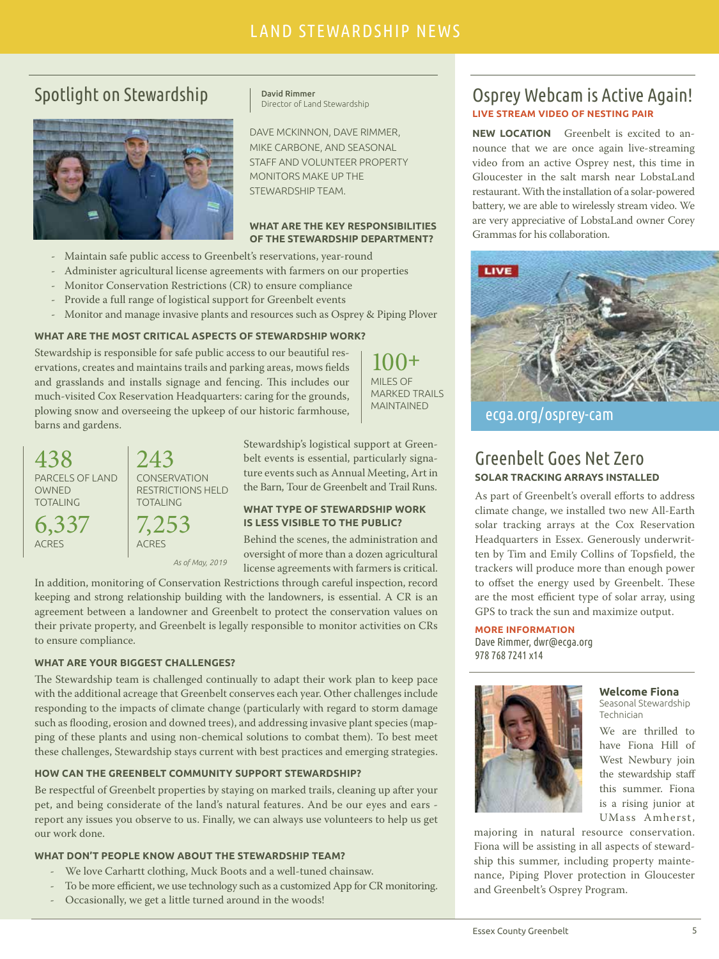### LAND STEWARDSHIP NEWS LAND STEWARDSHIP NEWS

### Spotlight on Stewardship



David Rimmer Director of Land Stewardship

DAVE MCKINNON, DAVE RIMMER, MIKE CARBONE, AND SEASONAL STAFF AND VOLUNTEER PROPERTY MONITORS MAKE UP THE STEWARDSHIP TEAM.

#### **WHAT ARE THE KEY RESPONSIBILITIES OF THE STEWARDSHIP DEPARTMENT?**

- Maintain safe public access to Greenbelt's reservations, year-round
- Administer agricultural license agreements with farmers on our properties
- Monitor Conservation Restrictions (CR) to ensure compliance
- Provide a full range of logistical support for Greenbelt events
- Monitor and manage invasive plants and resources such as Osprey & Piping Plover

#### **WHAT ARE THE MOST CRITICAL ASPECTS OF STEWARDSHIP WORK?**

Stewardship is responsible for safe public access to our beautiful reservations, creates and maintains trails and parking areas, mows fields and grasslands and installs signage and fencing. This includes our much-visited Cox Reservation Headquarters: caring for the grounds, plowing snow and overseeing the upkeep of our historic farmhouse, barns and gardens.

*As of May, 2019*

243

TOTALING

7,253 ACRES

**CONSERVATION** RESTRICTIONS HELD

100**+** MILES OF MARKED TRAILS MAINTAINED

Stewardship's logistical support at Greenbelt events is essential, particularly signature events such as Annual Meeting, Art in the Barn, Tour de Greenbelt and Trail Runs.

#### **WHAT TYPE OF STEWARDSHIP WORK IS LESS VISIBLE TO THE PUBLIC?**

Behind the scenes, the administration and oversight of more than a dozen agricultural license agreements with farmers is critical.

In addition, monitoring of Conservation Restrictions through careful inspection, record keeping and strong relationship building with the landowners, is essential. A CR is an agreement between a landowner and Greenbelt to protect the conservation values on their private property, and Greenbelt is legally responsible to monitor activities on CRs to ensure compliance.

#### **WHAT ARE YOUR BIGGEST CHALLENGES?**

438

OWNED TOTALING

6,337 ACRES

PARCELS OF LAND

The Stewardship team is challenged continually to adapt their work plan to keep pace with the additional acreage that Greenbelt conserves each year. Other challenges include responding to the impacts of climate change (particularly with regard to storm damage such as flooding, erosion and downed trees), and addressing invasive plant species (mapping of these plants and using non-chemical solutions to combat them). To best meet these challenges, Stewardship stays current with best practices and emerging strategies.

#### **HOW CAN THE GREENBELT COMMUNITY SUPPORT STEWARDSHIP?**

Be respectful of Greenbelt properties by staying on marked trails, cleaning up after your pet, and being considerate of the land's natural features. And be our eyes and ears report any issues you observe to us. Finally, we can always use volunteers to help us get our work done.

#### **WHAT DON'T PEOPLE KNOW ABOUT THE STEWARDSHIP TEAM?**

- We love Carhartt clothing, Muck Boots and a well-tuned chainsaw.
- To be more efficient, we use technology such as a customized App for CR monitoring.
- Occasionally, we get a little turned around in the woods!

### Osprey Webcam is Active Again! **LIVE STREAM VIDEO OF NESTING PAIR**

**NEW LOCATION** Greenbelt is excited to announce that we are once again live-streaming video from an active Osprey nest, this time in Gloucester in the salt marsh near LobstaLand restaurant. With the installation of a solar-powered battery, we are able to wirelessly stream video. We are very appreciative of LobstaLand owner Corey Grammas for his collaboration.



ecga.org/osprey-cam

### Greenbelt Goes Net Zero **SOLAR TRACKING ARRAYS INSTALLED**

As part of Greenbelt's overall efforts to address climate change, we installed two new All-Earth solar tracking arrays at the Cox Reservation Headquarters in Essex. Generously underwritten by Tim and Emily Collins of Topsfield, the trackers will produce more than enough power to offset the energy used by Greenbelt. These are the most efficient type of solar array, using GPS to track the sun and maximize output.

#### **MORE INFORMATION**

Dave Rimmer, dwr@ecga.org 978 768 7241 x14



#### **Welcome Fiona**

Seasonal Stewardship Technician

We are thrilled to have Fiona Hill of West Newbury join the stewardship staff this summer. Fiona is a rising junior at UMass Amherst,

majoring in natural resource conservation. Fiona will be assisting in all aspects of stewardship this summer, including property maintenance, Piping Plover protection in Gloucester and Greenbelt's Osprey Program.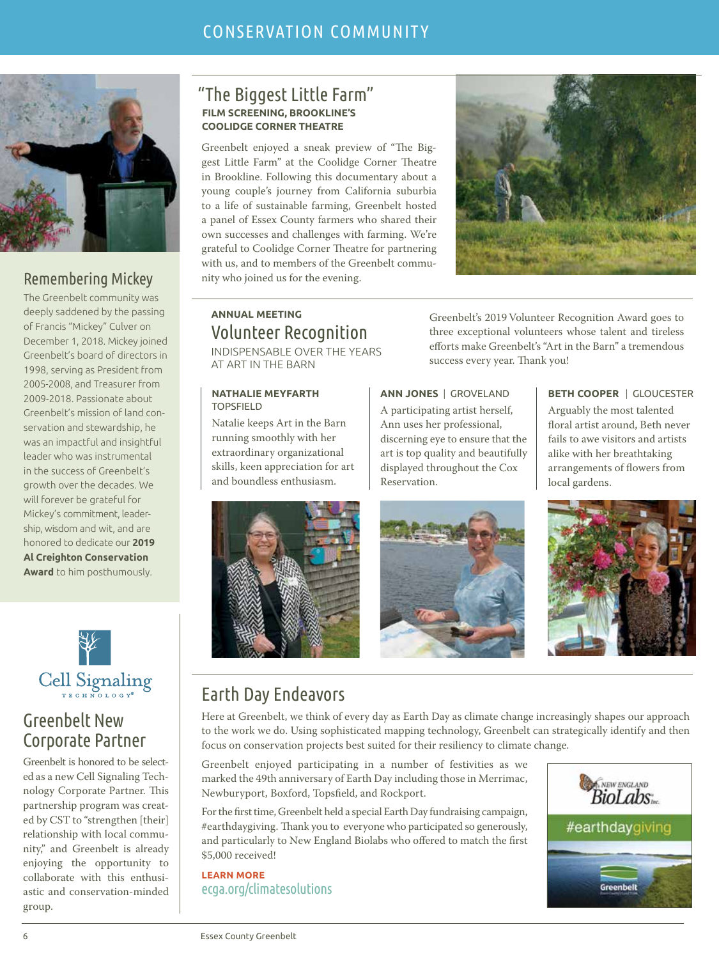

### Remembering Mickey

The Greenbelt community was deeply saddened by the passing of Francis "Mickey" Culver on December 1, 2018. Mickey joined Greenbelt's board of directors in 1998, serving as President from 2005-2008, and Treasurer from 2009-2018. Passionate about Greenbelt's mission of land conservation and stewardship, he was an impactful and insightful leader who was instrumental in the success of Greenbelt's growth over the decades. We will forever be grateful for Mickey's commitment, leadership, wisdom and wit, and are honored to dedicate our **2019 Al Creighton Conservation Award** to him posthumously.



### Greenbelt New Corporate Partner

Greenbelt is honored to be selected as a new Cell Signaling Technology Corporate Partner. This partnership program was created by CST to "strengthen [their] relationship with local community," and Greenbelt is already enjoying the opportunity to collaborate with this enthusiastic and conservation-minded group.

### "The Biggest Little Farm" **FILM SCREENING, BROOKLINE'S COOLIDGE CORNER THEATRE**

Greenbelt enjoyed a sneak preview of "The Biggest Little Farm" at the Coolidge Corner Theatre in Brookline. Following this documentary about a young couple's journey from California suburbia to a life of sustainable farming, Greenbelt hosted a panel of Essex County farmers who shared their own successes and challenges with farming. We're grateful to Coolidge Corner Theatre for partnering with us, and to members of the Greenbelt community who joined us for the evening.



### **ANNUAL MEETING** Volunteer Recognition

INDISPENSABLE OVER THE YEARS AT ART IN THE BARN

#### **NATHALIE MEYFARTH** TOPSFIELD

Natalie keeps Art in the Barn running smoothly with her extraordinary organizational skills, keen appreciation for art and boundless enthusiasm.

Greenbelt's 2019 Volunteer Recognition Award goes to three exceptional volunteers whose talent and tireless efforts make Greenbelt's "Art in the Barn" a tremendous success every year. Thank you!

**ANN JONES** | GROVELAND A participating artist herself, Ann uses her professional, discerning eye to ensure that the art is top quality and beautifully displayed throughout the Cox Reservation.

**BETH COOPER** | GLOUCESTER Arguably the most talented floral artist around, Beth never fails to awe visitors and artists alike with her breathtaking arrangements of flowers from local gardens.







### Earth Day Endeavors

Here at Greenbelt, we think of every day as Earth Day as climate change increasingly shapes our approach to the work we do. Using sophisticated mapping technology, Greenbelt can strategically identify and then focus on conservation projects best suited for their resiliency to climate change.

Greenbelt enjoyed participating in a number of festivities as we marked the 49th anniversary of Earth Day including those in Merrimac, Newburyport, Boxford, Topsfield, and Rockport.

For the first time, Greenbelt held a special Earth Day fundraising campaign, #earthdaygiving. Thank you to everyone who participated so generously, and particularly to New England Biolabs who offered to match the first \$5,000 received!

**LEARN MORE** ecga.org/climatesolutions

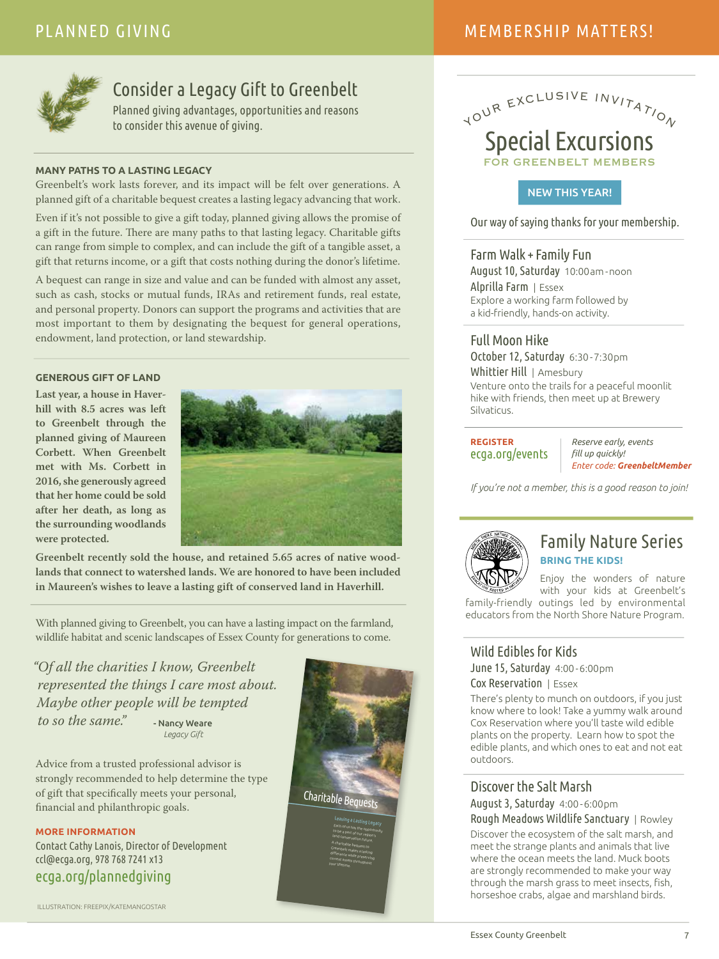### MEMBERSHIP MATTERS!



### Consider a Legacy Gift to Greenbelt

Planned giving advantages, opportunities and reasons to consider this avenue of giving.

#### **MANY PATHS TO A LASTING LEGACY**

Greenbelt's work lasts forever, and its impact will be felt over generations. A planned gift of a charitable bequest creates a lasting legacy advancing that work.

Even if it's not possible to give a gift today, planned giving allows the promise of a gift in the future. There are many paths to that lasting legacy. Charitable gifts can range from simple to complex, and can include the gift of a tangible asset, a gift that returns income, or a gift that costs nothing during the donor's lifetime.

A bequest can range in size and value and can be funded with almost any asset, such as cash, stocks or mutual funds, IRAs and retirement funds, real estate, and personal property. Donors can support the programs and activities that are most important to them by designating the bequest for general operations, endowment, land protection, or land stewardship.

#### **GENEROUS GIFT OF LAND**

**Last year, a house in Haverhill with 8.5 acres was left to Greenbelt through the planned giving of Maureen Corbett. When Greenbelt met with Ms. Corbett in 2016, she generously agreed that her home could be sold after her death, as long as the surrounding woodlands were protected.**



**Greenbelt recently sold the house, and retained 5.65 acres of native woodlands that connect to watershed lands. We are honored to have been included in Maureen's wishes to leave a lasting gift of conserved land in Haverhill.**

With planned giving to Greenbelt, you can have a lasting impact on the farmland, wildlife habitat and scenic landscapes of Essex County for generations to come.

"Of all the charities I know, Greenbelt represented the things I care most about. Maybe other people will be tempted to so the same." - Nancy Weare  *Legacy Gift* 

Advice from a trusted professional advisor is strongly recommended to help determine the type of gift that specifically meets your personal, financial and philanthropic goals.

**MORE INFORMATION** Contact Cathy Lanois, Director of Development ccl@ecga.org, 978 768 7241 x13

ecga.org/plannedgiving

ILLUSTRATION: FREEPIX/KATEMANGOSTAR



### YOUR EXCLUSIVE INVITATION Special Excursions FOR GREENBELT MEMBERS

### NEW THIS YEAR!

Our way of saying thanks for your membership.

### Farm Walk + Family Fun

August 10, Saturday 10:00am -noon Alprilla Farm | Essex Explore a working farm followed by a kid-friendly, hands-on activity.

### Full Moon Hike

October 12, Saturday 6:30 -7:30pm Whittier Hill | Amesbury Venture onto the trails for a peaceful moonlit hike with friends, then meet up at Brewery Silvaticus.

**REGISTER**  ecga.org/events

*Reserve early, events fll up quickly! Enter code: GreenbeltMember*

*If you're not a member, this is a good reason to join!*



### Family Nature Series **BRING THE KIDS!**

Enjoy the wonders of nature with your kids at Greenbelt's

family-friendly outings led by environmental educators from the North Shore Nature Program.

### Wild Edibles for Kids

June 15, Saturday 4:00 -6:00pm Cox Reservation | Essex

There's plenty to munch on outdoors, if you just know where to look! Take a yummy walk around Cox Reservation where you'll taste wild edible plants on the property. Learn how to spot the edible plants, and which ones to eat and not eat outdoors.

### Discover the Salt Marsh

August 3, Saturday 4:00 -6:00pm

Rough Meadows Wildlife Sanctuary | Rowley Discover the ecosystem of the salt marsh, and meet the strange plants and animals that live where the ocean meets the land. Muck boots are strongly recommended to make your way through the marsh grass to meet insects, fish, horseshoe crabs, algae and marshland birds.